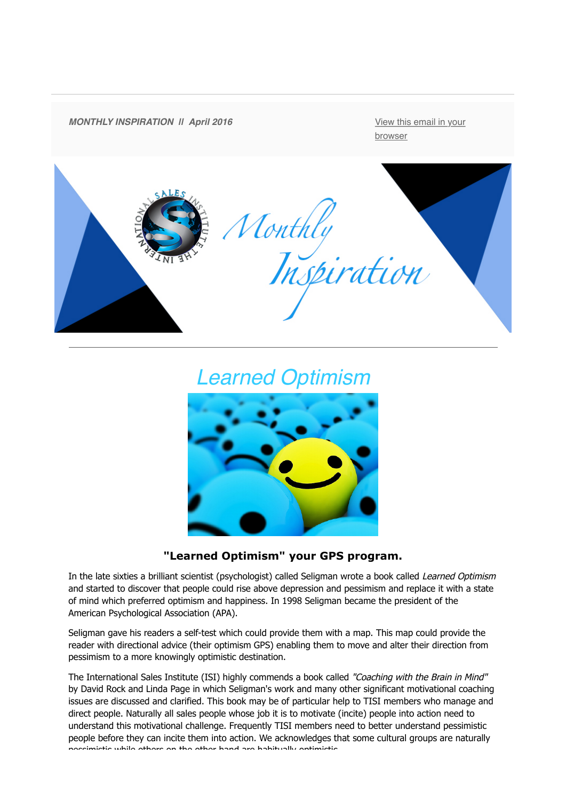

# *Learned Optimism*



### **"Learned Optimism" your GPS program.**

In the late sixties a brilliant scientist (psychologist) called Seligman wrote a book called Learned Optimism and started to discover that people could rise above depression and pessimism and replace it with a state of mind which preferred optimism and happiness. In 1998 Seligman became the president of the American Psychological Association (APA).

Seligman gave his readers a self-test which could provide them with a map. This map could provide the reader with directional advice (their optimism GPS) enabling them to move and alter their direction from pessimism to a more knowingly optimistic destination.

The International Sales Institute (ISI) highly commends a book called "Coaching with the Brain in Mind" by David Rock and Linda Page in which Seligman's work and many other significant motivational coaching issues are discussed and clarified. This book may be of particular help to TISI members who manage and direct people. Naturally all sales people whose job it is to motivate (incite) people into action need to understand this motivational challenge. Frequently TISI members need to better understand pessimistic people before they can incite them into action. We acknowledges that some cultural groups are naturally pessimistic while others on the other hand are habitually optimistic.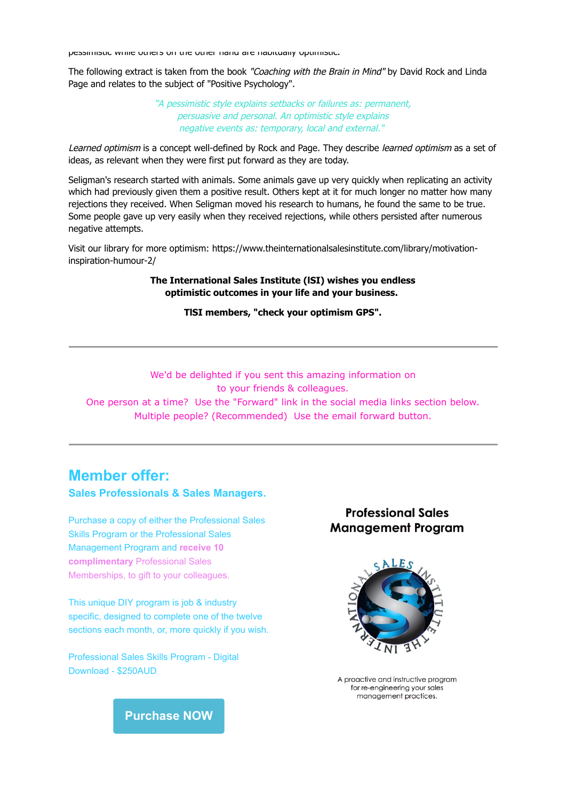pessimistic while others on the other hand are habitually optimistic.

The following extract is taken from the book "Coaching with the Brain in Mind" by David Rock and Linda Page and relates to the subject of "Positive Psychology".

> "A pessimistic style explains setbacks or failures as: permanent, persuasive and personal. An optimistic style explains negative events as: temporary, local and external."

Learned optimism is a concept well-defined by Rock and Page. They describe learned optimism as a set of ideas, as relevant when they were first put forward as they are today.

Seligman's research started with animals. Some animals gave up very quickly when replicating an activity which had previously given them a positive result. Others kept at it for much longer no matter how many rejections they received. When Seligman moved his research to humans, he found the same to be true. Some people gave up very easily when they received rejections, while others persisted after numerous negative attempts.

Visit our library for more optimism: https://www.theinternationalsalesinstitute.com/library/motivationinspiration-humour-2/

#### **The International Sales Institute (lSI) wishes you endless optimistic outcomes in your life and your business.**

**TlSI members, "check your optimism GPS".**

We'd be delighted if you sent this amazing information on to your friends & colleagues.

One person at a time? Use the "Forward" link in the social media links section below. Multiple people? (Recommended) Use the email forward button.

# **Member offer:**

**Sales Professionals & Sales Managers.**

Purchase a copy of either the Professional Sales Skills Program or the Professional Sales Management Program and **receive 10 complimentary** Professional Sales Memberships, to gift to your colleagues.

This unique DIY program is job & industry specific, designed to complete one of the twelve sections each month, or, more quickly if you wish.

Professional Sales Skills Program - Digital Download - \$250AUD

## **Professional Sales Management Program**



A proactive and instructive program for re-engineering your sales management practices.

**[Purchase NOW](http://theinternationalsalesinstitute.us11.list-manage1.com/track/click?u=933b80e7a2e18bb216f31e81e&id=1c329ac5fe&e=9f87e78b41)**